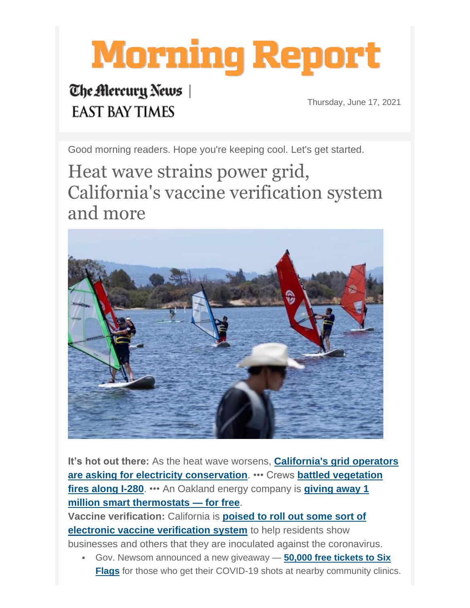# **Morning Report**

# The Mercury News **EAST BAY TIMES**

Thursday, June 17, 2021

Good morning readers. Hope you're keeping cool. Let's get started.

Heat wave strains power grid, California's vaccine verification system and more



**It's hot out there:** As the heat wave worsens, **[California's grid operators](http://enews.email.bayareanewsgroup.com/q/LLLzcR1ZyuGaT-U4YH8jK9gR4DfpoJ0_4fBqBHVAQdYOA2Z-fmDX0LzHgThw)  [are asking for electricity conservation](http://enews.email.bayareanewsgroup.com/q/LLLzcR1ZyuGaT-U4YH8jK9gR4DfpoJ0_4fBqBHVAQdYOA2Z-fmDX0LzHgThw)**. ••• Crews **[battled vegetation](http://enews.email.bayareanewsgroup.com/q/5tkD6BMB_aE3q9gYrB0LiGCuJKXhUAK19VCDh2HiueaLIPrV2GDrbmNVAp5w)  [fires along I-280](http://enews.email.bayareanewsgroup.com/q/5tkD6BMB_aE3q9gYrB0LiGCuJKXhUAK19VCDh2HiueaLIPrV2GDrbmNVAp5w)**. ••• An Oakland energy company is **[giving away 1](http://enews.email.bayareanewsgroup.com/q/ha_ltdbcs7NiS6JmLWUaYEw4uUIL16are9pz_bLNme7WlEoeYoDCEBQfKV-Q)  [million smart thermostats —](http://enews.email.bayareanewsgroup.com/q/ha_ltdbcs7NiS6JmLWUaYEw4uUIL16are9pz_bLNme7WlEoeYoDCEBQfKV-Q) for free**.

**Vaccine verification:** California is **[poised to roll out some sort of](http://enews.email.bayareanewsgroup.com/q/P2Zt3qifdkEWUMzTuX_EdIdSjocB6Bg_XeImXvxQNdYgGDYplhDY0k83yAkQ)  [electronic vaccine verification system](http://enews.email.bayareanewsgroup.com/q/P2Zt3qifdkEWUMzTuX_EdIdSjocB6Bg_XeImXvxQNdYgGDYplhDY0k83yAkQ)** to help residents show businesses and others that they are inoculated against the coronavirus.

▪ Gov. Newsom announced a new giveaway — **[50,000 free tickets to Six](http://enews.email.bayareanewsgroup.com/q/f5HfSQ-BklmWkkbha78VY7O9yfwNmQ1MlGKVHA5hleIcPjOuXfD-X6JhysQQ)  [Flags](http://enews.email.bayareanewsgroup.com/q/f5HfSQ-BklmWkkbha78VY7O9yfwNmQ1MlGKVHA5hleIcPjOuXfD-X6JhysQQ)** for those who get their COVID-19 shots at nearby community clinics.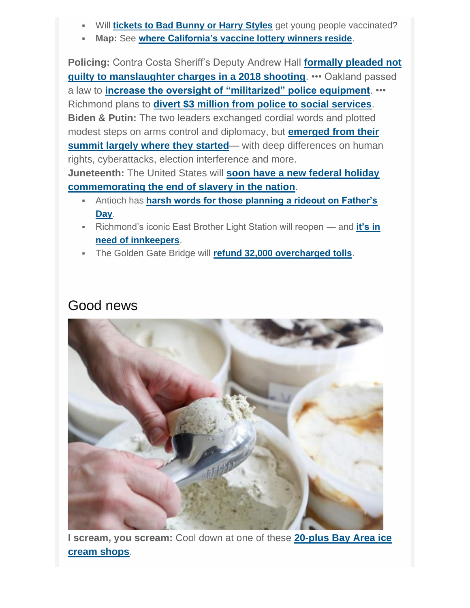- Will **[tickets to Bad Bunny or Harry Styles](http://enews.email.bayareanewsgroup.com/q/nfOKzaew9qiNtEexQI0-S38VgscYnQluylJAX3zKWcpHFwxsadDtiRUZCZEQ)** get young people vaccinated?
- **Map:** See **[where California's vaccine lottery winners reside](http://enews.email.bayareanewsgroup.com/q/miBI-q2MV0VhaTOWoVIVhshYj4n_W_n5feQSftohXfoQG1pN64DCIgZX0NmQ)**.

**Policing:** Contra Costa Sheriff's Deputy Andrew Hall **[formally pleaded not](http://enews.email.bayareanewsgroup.com/q/qyS0UYrXAcAWoLinqyEfHaZ9mBNGTQqCn68SrE2Wye5StTJQkaDnQ71e_NrQ)  [guilty to manslaughter charges in a 2018 shooting](http://enews.email.bayareanewsgroup.com/q/qyS0UYrXAcAWoLinqyEfHaZ9mBNGTQqCn68SrE2Wye5StTJQkaDnQ71e_NrQ)**. ••• Oakland passed a law to **[increase the oversight of "militarized" police equipment](http://enews.email.bayareanewsgroup.com/q/RR8radjc7OEzylMZIoZs9dJjcmQ8HVuXHA-E7NlsOdppBHlU8VD7KEgwfoPQ)**. ••• Richmond plans to **[divert \\$3 million from police to social services](http://enews.email.bayareanewsgroup.com/q/n6CRHYBkYoVB2TN6fGIShhQ2L7xFNuZtMcAC-KKrTdbDUzg2ypDigdX3QJuA)**. **Biden & Putin:** The two leaders exchanged cordial words and plotted modest steps on arms control and diplomacy, but **[emerged from their](http://enews.email.bayareanewsgroup.com/q/_VT7FKerIsAsoICH1hrsw1N3ZrRX4MMtL4jEtwM1ifba4-ANhbDlsdQeY4Kw)  [summit largely where they started](http://enews.email.bayareanewsgroup.com/q/_VT7FKerIsAsoICH1hrsw1N3ZrRX4MMtL4jEtwM1ifba4-ANhbDlsdQeY4Kw)—** with deep differences on human rights, cyberattacks, election interference and more. **Juneteenth:** The United States will **[soon have a new federal holiday](http://enews.email.bayareanewsgroup.com/q/aan5RUc0funJyM3Qcc_Od4EpOzClWRdUpJ431cTwYdoO9b9PEdDE_CLSOE8w)** 

- **[commemorating the end of slavery in the nation](http://enews.email.bayareanewsgroup.com/q/aan5RUc0funJyM3Qcc_Od4EpOzClWRdUpJ431cTwYdoO9b9PEdDE_CLSOE8w)**.
	- Antioch has **[harsh words for those planning a rideout on Father's](http://enews.email.bayareanewsgroup.com/q/1IBrMfobmLHbmDYe2UvHdERAPR0E-X53Ed2S28cGed6qWIth7VDJGOgHNtsA)  [Day](http://enews.email.bayareanewsgroup.com/q/1IBrMfobmLHbmDYe2UvHdERAPR0E-X53Ed2S28cGed6qWIth7VDJGOgHNtsA)**.
	- Richmond's iconic East Brother Light Station will reopen and **[it's in](http://enews.email.bayareanewsgroup.com/q/DGKZwGWhj0JpitkPdAwXPBKzBgaEZkVnwDUaS60KSeorR4K92uDtKRgwlPlA)  [need of innkeepers](http://enews.email.bayareanewsgroup.com/q/DGKZwGWhj0JpitkPdAwXPBKzBgaEZkVnwDUaS60KSeorR4K92uDtKRgwlPlA)**.
	- The Golden Gate Bridge will **[refund 32,000 overcharged tolls](http://enews.email.bayareanewsgroup.com/q/Bq5Sxrikp5ZmWd2zVNsEXiWGxa7eoLiaO81fVt0Ikcqni_VpqNDDcVPvde0w)**.

#### Good news



**I scream, you scream:** Cool down at one of these **[20-plus Bay Area ice](http://enews.email.bayareanewsgroup.com/q/pDG1PFHxb9wpLje0Ac6JoQ75cI-pQBQEGmy1HpnPFe74kaOqd4DloxX58kQQ)  [cream shops](http://enews.email.bayareanewsgroup.com/q/pDG1PFHxb9wpLje0Ac6JoQ75cI-pQBQEGmy1HpnPFe74kaOqd4DloxX58kQQ)**.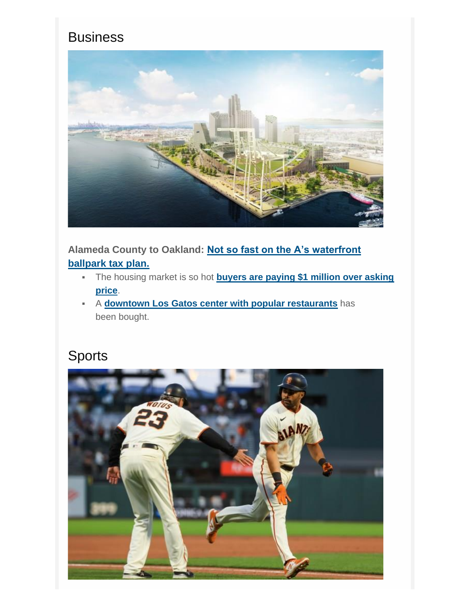#### **Business**



**Alameda County to Oakland: [Not so fast on the A's waterfront](http://enews.email.bayareanewsgroup.com/q/qykpYbEKh498JpNDBYmWhURCnflRgDfKKQbF4YBxVd4hJiXhGnDti5OEW4fg)  [ballpark tax plan.](http://enews.email.bayareanewsgroup.com/q/qykpYbEKh498JpNDBYmWhURCnflRgDfKKQbF4YBxVd4hJiXhGnDti5OEW4fg)**

- The housing market is so hot **[buyers are paying \\$1 million over asking](http://enews.email.bayareanewsgroup.com/q/IIIwAlS89aI3nW_hK2K5_1W4eDPOFV_WP8WL5oSsUeroG1rFDaDwHbwPVr_w)  [price](http://enews.email.bayareanewsgroup.com/q/IIIwAlS89aI3nW_hK2K5_1W4eDPOFV_WP8WL5oSsUeroG1rFDaDwHbwPVr_w)**.
- A **[downtown Los Gatos center with popular restaurants](http://enews.email.bayareanewsgroup.com/q/IIgG-NzwVCIjR84s5AQUR1Tsc4ohjTYXebeRl0GZUd47xp1-_XDDnX3WntYw)** has been bought.

## Sports

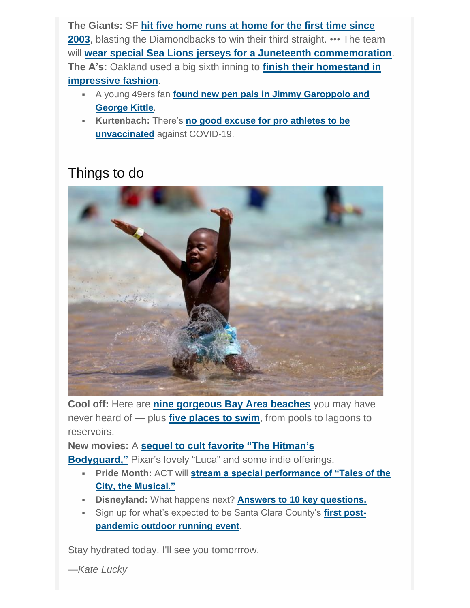**The Giants:** SF **[hit five home runs at home for the first time since](http://enews.email.bayareanewsgroup.com/q/hwUCxJr7gGFaV0VfE5jI9I44fGp-vQMXAzOgUP2rPea4UM946CDtq07cjhEg)  [2003](http://enews.email.bayareanewsgroup.com/q/hwUCxJr7gGFaV0VfE5jI9I44fGp-vQMXAzOgUP2rPea4UM946CDtq07cjhEg)**, blasting the Diamondbacks to win their third straight. ••• The team will **[wear special Sea Lions jerseys for a Juneteenth commemoration](http://enews.email.bayareanewsgroup.com/q/YYGSr1jk_fGE84UZl5V6KOHUcYJcP6KZ8FEP3mQfKcLellHJTUDnQ43hBK8Q)**. **The A's:** Oakland used a big sixth inning to **[finish their homestand in](http://enews.email.bayareanewsgroup.com/q/rs_-5p8oEz5-5adK8CNULaNbWrbmdDr7-4yq982-XeaCEWqwVjDzvXM-cjuw)  [impressive fashion](http://enews.email.bayareanewsgroup.com/q/rs_-5p8oEz5-5adK8CNULaNbWrbmdDr7-4yq982-XeaCEWqwVjDzvXM-cjuw)**.

- A young 49ers fan **[found new pen pals in Jimmy Garoppolo and](http://enews.email.bayareanewsgroup.com/q/-RadAtM002ESalozeiZ89H_jYw5XXcSsUp7wrRImqcIuegV5sZDp18T6O1LQ)  [George Kittle](http://enews.email.bayareanewsgroup.com/q/-RadAtM002ESalozeiZ89H_jYw5XXcSsUp7wrRImqcIuegV5sZDp18T6O1LQ)**.
- **Kurtenbach:** There's **[no good excuse for pro athletes to be](http://enews.email.bayareanewsgroup.com/q/aaLzH-7wrKzWUdhxF4s3X_P4KOAFtTanv5FDuYqiPer3VJYjpxDp6ClOBZ6A)  [unvaccinated](http://enews.email.bayareanewsgroup.com/q/aaLzH-7wrKzWUdhxF4s3X_P4KOAFtTanv5FDuYqiPer3VJYjpxDp6ClOBZ6A)** against COVID-19.

### Things to do



**Cool off:** Here are **[nine gorgeous Bay Area beaches](http://enews.email.bayareanewsgroup.com/q/jptt3s-dFUC0DBIEt6xbu98wbNXOOWVhH_3zCKy-6cKgmBv2BhDOF6Vft1xA)** you may have never heard of — plus **[five places to swim](http://enews.email.bayareanewsgroup.com/q/TlH-6MwkW7T1U_YQyzWThLswuZRXpxhXNcQn5jyUzcazo13tgsDtL2hXUA_w)**, from pools to lagoons to reservoirs.

**New movies:** A **[sequel to cult favorite "The Hitman's](http://enews.email.bayareanewsgroup.com/q/bY77P2z0E0AVg80tZaQZRPdslfyAobU9xvlT82I4Ffq_DPR2S8Dnm7nLpd-g)** 

**[Bodyguard,"](http://enews.email.bayareanewsgroup.com/q/bY77P2z0E0AVg80tZaQZRPdslfyAobU9xvlT82I4Ffq_DPR2S8Dnm7nLpd-g)** Pixar's lovely "Luca" and some indie offerings.

- **Pride Month:** ACT will **[stream a special performance of "Tales of the](http://enews.email.bayareanewsgroup.com/q/22T9xmkw1VE4zc5Y9QUBus2gj9NkQenKecekzkt7of4sqwA3jpDBKV4HXgNQ)  [City, the Musical."](http://enews.email.bayareanewsgroup.com/q/22T9xmkw1VE4zc5Y9QUBus2gj9NkQenKecekzkt7of4sqwA3jpDBKV4HXgNQ)**
- **Disneyland:** What happens next? **[Answers to 10 key questions.](http://enews.email.bayareanewsgroup.com/q/njXTJYjQuDRryciz4zUPuQpgPiNCDepPf0ahIDINVf4hQo2SLaDnJ1f9WhTg)**
- Sign up for what's expected to be Santa Clara County's **[first post](http://enews.email.bayareanewsgroup.com/q/_jfDwOk2KFxvHl6H65ZR9QuPL3WRUauOmb2XL8ihddJmrKV_86D4D2zmtszQ)[pandemic outdoor running event](http://enews.email.bayareanewsgroup.com/q/_jfDwOk2KFxvHl6H65ZR9QuPL3WRUauOmb2XL8ihddJmrKV_86D4D2zmtszQ)**.

Stay hydrated today. I'll see you tomorrrow.

*—Kate Lucky*